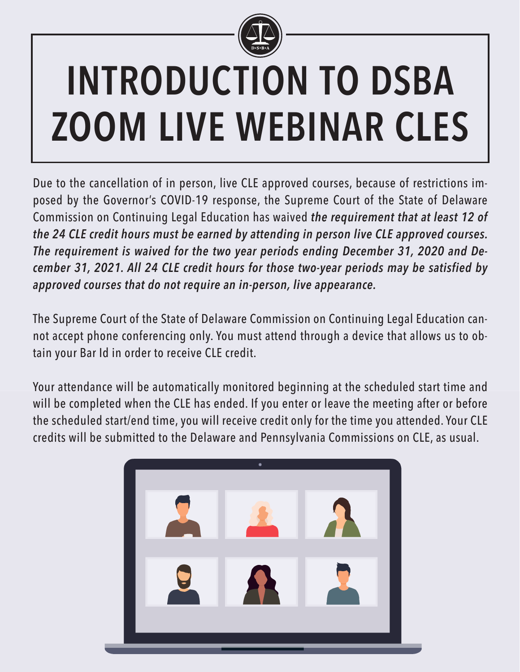

# **INTRODUCTION TO DSBA ZOOM LIVE WEBINAR CLES**

Due to the cancellation of in person, live CLE approved courses, because of restrictions imposed by the Governor's COVID-19 response, the Supreme Court of the State of Delaware Commission on Continuing Legal Education has waived *the requirement that at least 12 of the 24 CLE credit hours must be earned by attending in person live CLE approved courses. The requirement is waived for the two year periods ending December 31, 2020 and December 31, 2021. All 24 CLE credit hours for those two-year periods may be satisfied by approved courses that do not require an in-person, live appearance.*

The Supreme Court of the State of Delaware Commission on Continuing Legal Education cannot accept phone conferencing only. You must attend through a device that allows us to obtain your Bar Id in order to receive CLE credit.

Your attendance will be automatically monitored beginning at the scheduled start time and will be completed when the CLE has ended. If you enter or leave the meeting after or before the scheduled start/end time, you will receive credit only for the time you attended. Your CLE credits will be submitted to the Delaware and Pennsylvania Commissions on CLE, as usual.